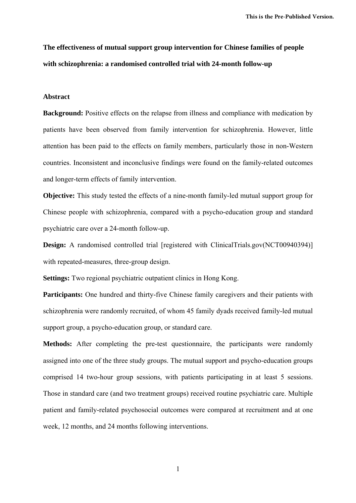# **The effectiveness of mutual support group intervention for Chinese families of people with schizophrenia: a randomised controlled trial with 24-month follow-up**

# **Abstract**

**Background:** Positive effects on the relapse from illness and compliance with medication by patients have been observed from family intervention for schizophrenia. However, little attention has been paid to the effects on family members, particularly those in non-Western countries. Inconsistent and inconclusive findings were found on the family-related outcomes and longer-term effects of family intervention.

**Objective:** This study tested the effects of a nine-month family-led mutual support group for Chinese people with schizophrenia, compared with a psycho-education group and standard psychiatric care over a 24-month follow-up.

**Design:** A randomised controlled trial [registered with ClinicalTrials.gov(NCT00940394)] with repeated-measures, three-group design.

**Settings:** Two regional psychiatric outpatient clinics in Hong Kong.

**Participants:** One hundred and thirty-five Chinese family caregivers and their patients with schizophrenia were randomly recruited, of whom 45 family dyads received family-led mutual support group, a psycho-education group, or standard care.

**Methods:** After completing the pre-test questionnaire, the participants were randomly assigned into one of the three study groups. The mutual support and psycho-education groups comprised 14 two-hour group sessions, with patients participating in at least 5 sessions. Those in standard care (and two treatment groups) received routine psychiatric care. Multiple patient and family-related psychosocial outcomes were compared at recruitment and at one week, 12 months, and 24 months following interventions.

1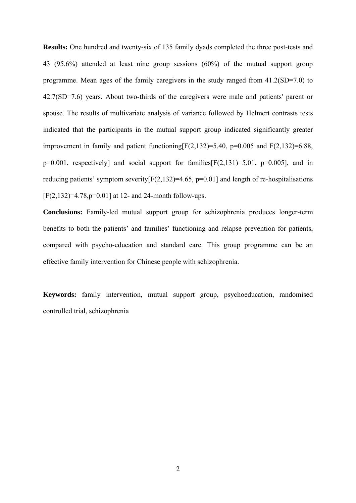**Results:** One hundred and twenty-six of 135 family dyads completed the three post-tests and 43 (95.6%) attended at least nine group sessions (60%) of the mutual support group programme. Mean ages of the family caregivers in the study ranged from 41.2(SD=7.0) to 42.7(SD=7.6) years. About two-thirds of the caregivers were male and patients' parent or spouse. The results of multivariate analysis of variance followed by Helmert contrasts tests indicated that the participants in the mutual support group indicated significantly greater improvement in family and patient functioning  $[F(2,132)=5.40, p=0.005, p=0.015]$  and  $F(2,132)=6.88$ ,  $p=0.001$ , respectively and social support for families  $[F(2,131)=5.01, p=0.005]$ , and in reducing patients' symptom severity $[F(2,132)=4.65, p=0.01]$  and length of re-hospitalisations  $[F(2,132)=4.78,p=0.01]$  at 12- and 24-month follow-ups.

**Conclusions:** Family-led mutual support group for schizophrenia produces longer-term benefits to both the patients' and families' functioning and relapse prevention for patients, compared with psycho-education and standard care. This group programme can be an effective family intervention for Chinese people with schizophrenia.

**Keywords:** family intervention, mutual support group, psychoeducation, randomised controlled trial, schizophrenia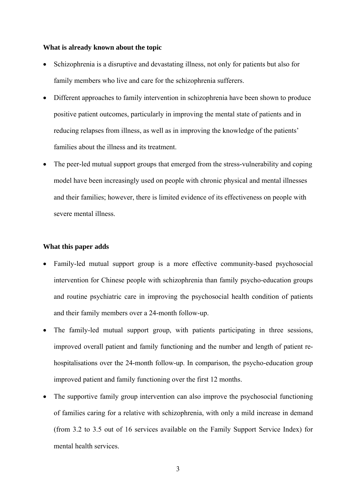#### **What is already known about the topic**

- Schizophrenia is a disruptive and devastating illness, not only for patients but also for family members who live and care for the schizophrenia sufferers.
- Different approaches to family intervention in schizophrenia have been shown to produce positive patient outcomes, particularly in improving the mental state of patients and in reducing relapses from illness, as well as in improving the knowledge of the patients' families about the illness and its treatment.
- The peer-led mutual support groups that emerged from the stress-vulnerability and coping model have been increasingly used on people with chronic physical and mental illnesses and their families; however, there is limited evidence of its effectiveness on people with severe mental illness.

#### **What this paper adds**

- Family-led mutual support group is a more effective community-based psychosocial intervention for Chinese people with schizophrenia than family psycho-education groups and routine psychiatric care in improving the psychosocial health condition of patients and their family members over a 24-month follow-up.
- The family-led mutual support group, with patients participating in three sessions, improved overall patient and family functioning and the number and length of patient rehospitalisations over the 24-month follow-up. In comparison, the psycho-education group improved patient and family functioning over the first 12 months.
- The supportive family group intervention can also improve the psychosocial functioning of families caring for a relative with schizophrenia, with only a mild increase in demand (from 3.2 to 3.5 out of 16 services available on the Family Support Service Index) for mental health services.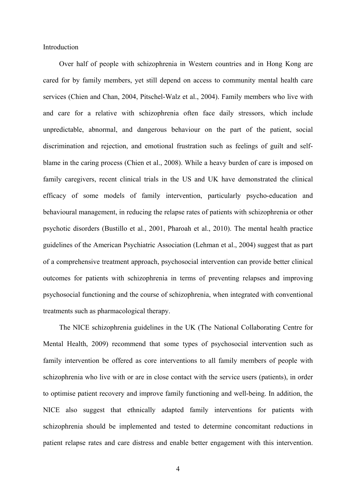Introduction

Over half of people with schizophrenia in Western countries and in Hong Kong are cared for by family members, yet still depend on access to community mental health care services (Chien and Chan, 2004, Pitschel-Walz et al., 2004). Family members who live with and care for a relative with schizophrenia often face daily stressors, which include unpredictable, abnormal, and dangerous behaviour on the part of the patient, social discrimination and rejection, and emotional frustration such as feelings of guilt and selfblame in the caring process (Chien et al., 2008). While a heavy burden of care is imposed on family caregivers, recent clinical trials in the US and UK have demonstrated the clinical efficacy of some models of family intervention, particularly psycho-education and behavioural management, in reducing the relapse rates of patients with schizophrenia or other psychotic disorders (Bustillo et al., 2001, Pharoah et al., 2010). The mental health practice guidelines of the American Psychiatric Association (Lehman et al., 2004) suggest that as part of a comprehensive treatment approach, psychosocial intervention can provide better clinical outcomes for patients with schizophrenia in terms of preventing relapses and improving psychosocial functioning and the course of schizophrenia, when integrated with conventional treatments such as pharmacological therapy.

The NICE schizophrenia guidelines in the UK (The National Collaborating Centre for Mental Health, 2009) recommend that some types of psychosocial intervention such as family intervention be offered as core interventions to all family members of people with schizophrenia who live with or are in close contact with the service users (patients), in order to optimise patient recovery and improve family functioning and well-being. In addition, the NICE also suggest that ethnically adapted family interventions for patients with schizophrenia should be implemented and tested to determine concomitant reductions in patient relapse rates and care distress and enable better engagement with this intervention.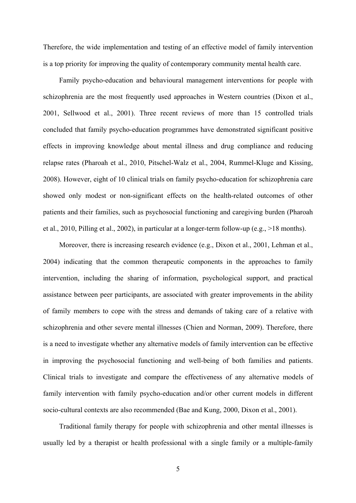Therefore, the wide implementation and testing of an effective model of family intervention is a top priority for improving the quality of contemporary community mental health care.

Family psycho-education and behavioural management interventions for people with schizophrenia are the most frequently used approaches in Western countries (Dixon et al., 2001, Sellwood et al., 2001). Three recent reviews of more than 15 controlled trials concluded that family psycho-education programmes have demonstrated significant positive effects in improving knowledge about mental illness and drug compliance and reducing relapse rates (Pharoah et al., 2010, Pitschel-Walz et al., 2004, Rummel-Kluge and Kissing, 2008). However, eight of 10 clinical trials on family psycho-education for schizophrenia care showed only modest or non-significant effects on the health-related outcomes of other patients and their families, such as psychosocial functioning and caregiving burden (Pharoah et al., 2010, Pilling et al., 2002), in particular at a longer-term follow-up (e.g., >18 months).

Moreover, there is increasing research evidence (e.g., Dixon et al., 2001, Lehman et al., 2004) indicating that the common therapeutic components in the approaches to family intervention, including the sharing of information, psychological support, and practical assistance between peer participants, are associated with greater improvements in the ability of family members to cope with the stress and demands of taking care of a relative with schizophrenia and other severe mental illnesses (Chien and Norman, 2009). Therefore, there is a need to investigate whether any alternative models of family intervention can be effective in improving the psychosocial functioning and well-being of both families and patients. Clinical trials to investigate and compare the effectiveness of any alternative models of family intervention with family psycho-education and/or other current models in different socio-cultural contexts are also recommended (Bae and Kung, 2000, Dixon et al., 2001).

Traditional family therapy for people with schizophrenia and other mental illnesses is usually led by a therapist or health professional with a single family or a multiple-family

5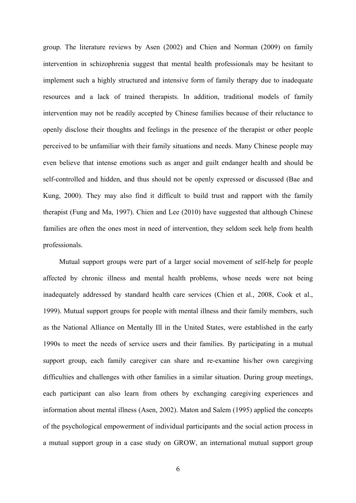group. The literature reviews by Asen (2002) and Chien and Norman (2009) on family intervention in schizophrenia suggest that mental health professionals may be hesitant to implement such a highly structured and intensive form of family therapy due to inadequate resources and a lack of trained therapists. In addition, traditional models of family intervention may not be readily accepted by Chinese families because of their reluctance to openly disclose their thoughts and feelings in the presence of the therapist or other people perceived to be unfamiliar with their family situations and needs. Many Chinese people may even believe that intense emotions such as anger and guilt endanger health and should be self-controlled and hidden, and thus should not be openly expressed or discussed (Bae and Kung, 2000). They may also find it difficult to build trust and rapport with the family therapist (Fung and Ma, 1997). Chien and Lee (2010) have suggested that although Chinese families are often the ones most in need of intervention, they seldom seek help from health professionals.

Mutual support groups were part of a larger social movement of self-help for people affected by chronic illness and mental health problems, whose needs were not being inadequately addressed by standard health care services (Chien et al., 2008, Cook et al., 1999). Mutual support groups for people with mental illness and their family members, such as the National Alliance on Mentally Ill in the United States, were established in the early 1990s to meet the needs of service users and their families. By participating in a mutual support group, each family caregiver can share and re-examine his/her own caregiving difficulties and challenges with other families in a similar situation. During group meetings, each participant can also learn from others by exchanging caregiving experiences and information about mental illness (Asen, 2002). Maton and Salem (1995) applied the concepts of the psychological empowerment of individual participants and the social action process in a mutual support group in a case study on GROW, an international mutual support group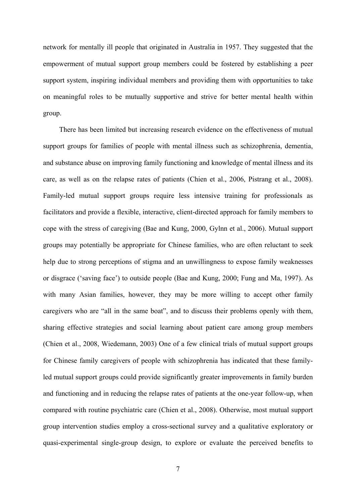network for mentally ill people that originated in Australia in 1957. They suggested that the empowerment of mutual support group members could be fostered by establishing a peer support system, inspiring individual members and providing them with opportunities to take on meaningful roles to be mutually supportive and strive for better mental health within group.

There has been limited but increasing research evidence on the effectiveness of mutual support groups for families of people with mental illness such as schizophrenia, dementia, and substance abuse on improving family functioning and knowledge of mental illness and its care, as well as on the relapse rates of patients (Chien et al., 2006, Pistrang et al., 2008). Family-led mutual support groups require less intensive training for professionals as facilitators and provide a flexible, interactive, client-directed approach for family members to cope with the stress of caregiving (Bae and Kung, 2000, Gylnn et al., 2006). Mutual support groups may potentially be appropriate for Chinese families, who are often reluctant to seek help due to strong perceptions of stigma and an unwillingness to expose family weaknesses or disgrace ('saving face') to outside people (Bae and Kung, 2000; Fung and Ma, 1997). As with many Asian families, however, they may be more willing to accept other family caregivers who are "all in the same boat", and to discuss their problems openly with them, sharing effective strategies and social learning about patient care among group members (Chien et al., 2008, Wiedemann, 2003) One of a few clinical trials of mutual support groups for Chinese family caregivers of people with schizophrenia has indicated that these familyled mutual support groups could provide significantly greater improvements in family burden and functioning and in reducing the relapse rates of patients at the one-year follow-up, when compared with routine psychiatric care (Chien et al., 2008). Otherwise, most mutual support group intervention studies employ a cross-sectional survey and a qualitative exploratory or quasi-experimental single-group design, to explore or evaluate the perceived benefits to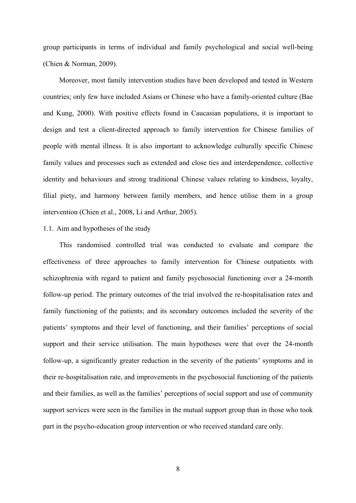group participants in terms of individual and family psychological and social well-being (Chien & Norman, 2009).

Moreover, most family intervention studies have been developed and tested in Western countries; only few have included Asians or Chinese who have a family-oriented culture (Bae and Kung, 2000). With positive effects found in Caucasian populations, it is important to design and test a client-directed approach to family intervention for Chinese families of people with mental illness. It is also important to acknowledge culturally specific Chinese family values and processes such as extended and close ties and interdependence, collective identity and behaviours and strong traditional Chinese values relating to kindness, loyalty, filial piety, and harmony between family members, and hence utilise them in a group intervention (Chien et al., 2008, Li and Arthur, 2005).

# 1.1. Aim and hypotheses of the study

This randomised controlled trial was conducted to evaluate and compare the effectiveness of three approaches to family intervention for Chinese outpatients with schizophrenia with regard to patient and family psychosocial functioning over a 24-month follow-up period. The primary outcomes of the trial involved the re-hospitalisation rates and family functioning of the patients; and its secondary outcomes included the severity of the patients' symptoms and their level of functioning, and their families' perceptions of social support and their service utilisation. The main hypotheses were that over the 24-month follow-up, a significantly greater reduction in the severity of the patients' symptoms and in their re-hospitalisation rate, and improvements in the psychosocial functioning of the patients and their families, as well as the families' perceptions of social support and use of community support services were seen in the families in the mutual support group than in those who took part in the psycho-education group intervention or who received standard care only.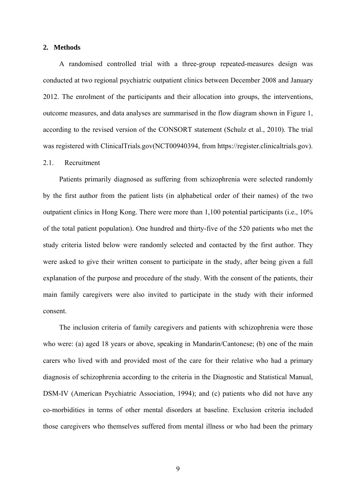### **2. Methods**

A randomised controlled trial with a three-group repeated-measures design was conducted at two regional psychiatric outpatient clinics between December 2008 and January 2012. The enrolment of the participants and their allocation into groups, the interventions, outcome measures, and data analyses are summarised in the flow diagram shown in Figure 1, according to the revised version of the CONSORT statement (Schulz et al., 2010). The trial was registered with ClinicalTrials.gov(NCT00940394, from https://register.clinicaltrials.gov).

#### 2.1 Recruitment

Patients primarily diagnosed as suffering from schizophrenia were selected randomly by the first author from the patient lists (in alphabetical order of their names) of the two outpatient clinics in Hong Kong. There were more than 1,100 potential participants (i.e., 10% of the total patient population). One hundred and thirty-five of the 520 patients who met the study criteria listed below were randomly selected and contacted by the first author. They were asked to give their written consent to participate in the study, after being given a full explanation of the purpose and procedure of the study. With the consent of the patients, their main family caregivers were also invited to participate in the study with their informed consent.

The inclusion criteria of family caregivers and patients with schizophrenia were those who were: (a) aged 18 years or above, speaking in Mandarin/Cantonese; (b) one of the main carers who lived with and provided most of the care for their relative who had a primary diagnosis of schizophrenia according to the criteria in the Diagnostic and Statistical Manual, DSM-IV (American Psychiatric Association, 1994); and (c) patients who did not have any co-morbidities in terms of other mental disorders at baseline. Exclusion criteria included those caregivers who themselves suffered from mental illness or who had been the primary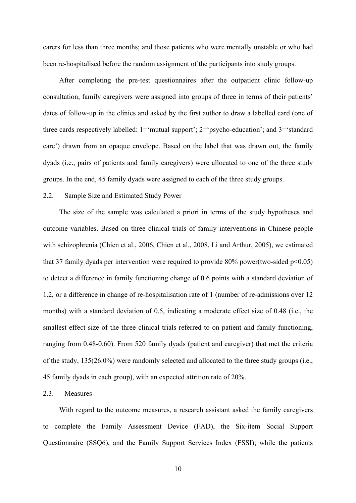carers for less than three months; and those patients who were mentally unstable or who had been re-hospitalised before the random assignment of the participants into study groups.

After completing the pre-test questionnaires after the outpatient clinic follow-up consultation, family caregivers were assigned into groups of three in terms of their patients' dates of follow-up in the clinics and asked by the first author to draw a labelled card (one of three cards respectively labelled:  $1 = 'mutual support'; 2 = 'psycho-education'; and 3 = 'standard$ care') drawn from an opaque envelope. Based on the label that was drawn out, the family dyads (i.e., pairs of patients and family caregivers) were allocated to one of the three study groups. In the end, 45 family dyads were assigned to each of the three study groups.

## 2.2. Sample Size and Estimated Study Power

The size of the sample was calculated a priori in terms of the study hypotheses and outcome variables. Based on three clinical trials of family interventions in Chinese people with schizophrenia (Chien et al., 2006, Chien et al., 2008, Li and Arthur, 2005), we estimated that 37 family dyads per intervention were required to provide 80% power(two-sided  $p<0.05$ ) to detect a difference in family functioning change of 0.6 points with a standard deviation of 1.2, or a difference in change of re-hospitalisation rate of 1 (number of re-admissions over 12 months) with a standard deviation of 0.5, indicating a moderate effect size of 0.48 (i.e., the smallest effect size of the three clinical trials referred to on patient and family functioning, ranging from 0.48-0.60). From 520 family dyads (patient and caregiver) that met the criteria of the study, 135(26.0%) were randomly selected and allocated to the three study groups (i.e., 45 family dyads in each group), with an expected attrition rate of 20%.

#### 2.3. Measures

With regard to the outcome measures, a research assistant asked the family caregivers to complete the Family Assessment Device (FAD), the Six-item Social Support Questionnaire (SSQ6), and the Family Support Services Index (FSSI); while the patients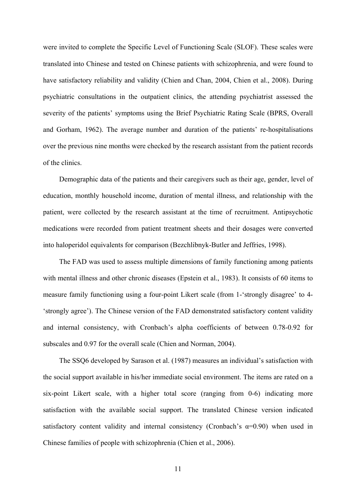were invited to complete the Specific Level of Functioning Scale (SLOF). These scales were translated into Chinese and tested on Chinese patients with schizophrenia, and were found to have satisfactory reliability and validity (Chien and Chan, 2004, Chien et al., 2008). During psychiatric consultations in the outpatient clinics, the attending psychiatrist assessed the severity of the patients' symptoms using the Brief Psychiatric Rating Scale (BPRS, Overall and Gorham, 1962). The average number and duration of the patients' re-hospitalisations over the previous nine months were checked by the research assistant from the patient records of the clinics.

Demographic data of the patients and their caregivers such as their age, gender, level of education, monthly household income, duration of mental illness, and relationship with the patient, were collected by the research assistant at the time of recruitment. Antipsychotic medications were recorded from patient treatment sheets and their dosages were converted into haloperidol equivalents for comparison (Bezchlibnyk-Butler and Jeffries, 1998).

The FAD was used to assess multiple dimensions of family functioning among patients with mental illness and other chronic diseases (Epstein et al., 1983). It consists of 60 items to measure family functioning using a four-point Likert scale (from 1-'strongly disagree' to 4- 'strongly agree'). The Chinese version of the FAD demonstrated satisfactory content validity and internal consistency, with Cronbach's alpha coefficients of between 0.78-0.92 for subscales and 0.97 for the overall scale (Chien and Norman, 2004).

The SSQ6 developed by Sarason et al. (1987) measures an individual's satisfaction with the social support available in his/her immediate social environment. The items are rated on a six-point Likert scale, with a higher total score (ranging from 0-6) indicating more satisfaction with the available social support. The translated Chinese version indicated satisfactory content validity and internal consistency (Cronbach's  $\alpha$ =0.90) when used in Chinese families of people with schizophrenia (Chien et al., 2006).

11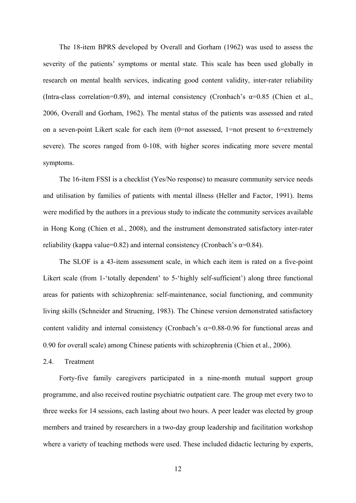The 18-item BPRS developed by Overall and Gorham (1962) was used to assess the severity of the patients' symptoms or mental state. This scale has been used globally in research on mental health services, indicating good content validity, inter-rater reliability (Intra-class correlation=0.89), and internal consistency (Cronbach's  $\alpha$ =0.85 (Chien et al., 2006, Overall and Gorham, 1962). The mental status of the patients was assessed and rated on a seven-point Likert scale for each item (0=not assessed, 1=not present to 6=extremely severe). The scores ranged from 0-108, with higher scores indicating more severe mental symptoms.

The 16-item FSSI is a checklist (Yes/No response) to measure community service needs and utilisation by families of patients with mental illness (Heller and Factor, 1991). Items were modified by the authors in a previous study to indicate the community services available in Hong Kong (Chien et al., 2008), and the instrument demonstrated satisfactory inter-rater reliability (kappa value=0.82) and internal consistency (Cronbach's  $\alpha$ =0.84).

The SLOF is a 43-item assessment scale, in which each item is rated on a five-point Likert scale (from 1-'totally dependent' to 5-'highly self-sufficient') along three functional areas for patients with schizophrenia: self-maintenance, social functioning, and community living skills (Schneider and Struening, 1983). The Chinese version demonstrated satisfactory content validity and internal consistency (Cronbach's  $\alpha$ =0.88-0.96 for functional areas and 0.90 for overall scale) among Chinese patients with schizophrenia (Chien et al., 2006).

2.4. Treatment

Forty-five family caregivers participated in a nine-month mutual support group programme, and also received routine psychiatric outpatient care. The group met every two to three weeks for 14 sessions, each lasting about two hours. A peer leader was elected by group members and trained by researchers in a two-day group leadership and facilitation workshop where a variety of teaching methods were used. These included didactic lecturing by experts,

12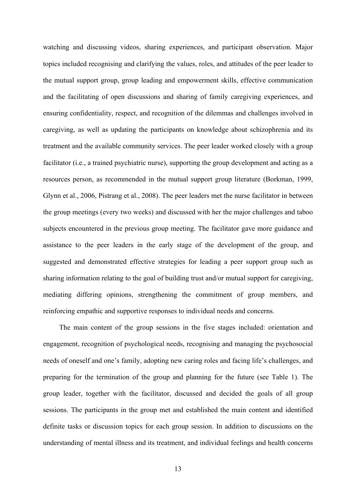watching and discussing videos, sharing experiences, and participant observation. Major topics included recognising and clarifying the values, roles, and attitudes of the peer leader to the mutual support group, group leading and empowerment skills, effective communication and the facilitating of open discussions and sharing of family caregiving experiences, and ensuring confidentiality, respect, and recognition of the dilemmas and challenges involved in caregiving, as well as updating the participants on knowledge about schizophrenia and its treatment and the available community services. The peer leader worked closely with a group facilitator (i.e., a trained psychiatric nurse), supporting the group development and acting as a resources person, as recommended in the mutual support group literature (Borkman, 1999, Glynn et al., 2006, Pistrang et al., 2008). The peer leaders met the nurse facilitator in between the group meetings (every two weeks) and discussed with her the major challenges and taboo subjects encountered in the previous group meeting. The facilitator gave more guidance and assistance to the peer leaders in the early stage of the development of the group, and suggested and demonstrated effective strategies for leading a peer support group such as sharing information relating to the goal of building trust and/or mutual support for caregiving, mediating differing opinions, strengthening the commitment of group members, and reinforcing empathic and supportive responses to individual needs and concerns.

The main content of the group sessions in the five stages included: orientation and engagement, recognition of psychological needs, recognising and managing the psychosocial needs of oneself and one's family, adopting new caring roles and facing life's challenges, and preparing for the termination of the group and planning for the future (see Table 1). The group leader, together with the facilitator, discussed and decided the goals of all group sessions. The participants in the group met and established the main content and identified definite tasks or discussion topics for each group session. In addition to discussions on the understanding of mental illness and its treatment, and individual feelings and health concerns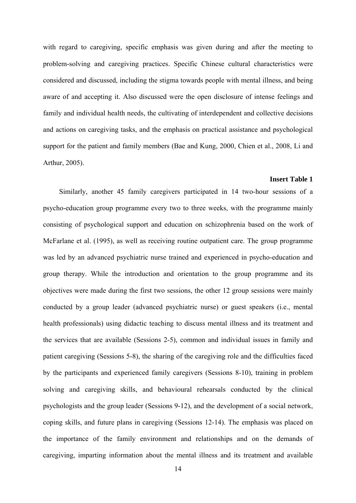with regard to caregiving, specific emphasis was given during and after the meeting to problem-solving and caregiving practices. Specific Chinese cultural characteristics were considered and discussed, including the stigma towards people with mental illness, and being aware of and accepting it. Also discussed were the open disclosure of intense feelings and family and individual health needs, the cultivating of interdependent and collective decisions and actions on caregiving tasks, and the emphasis on practical assistance and psychological support for the patient and family members (Bae and Kung, 2000, Chien et al., 2008, Li and Arthur, 2005).

## **Insert Table 1**

Similarly, another 45 family caregivers participated in 14 two-hour sessions of a psycho-education group programme every two to three weeks, with the programme mainly consisting of psychological support and education on schizophrenia based on the work of McFarlane et al. (1995), as well as receiving routine outpatient care. The group programme was led by an advanced psychiatric nurse trained and experienced in psycho-education and group therapy. While the introduction and orientation to the group programme and its objectives were made during the first two sessions, the other 12 group sessions were mainly conducted by a group leader (advanced psychiatric nurse) or guest speakers (i.e., mental health professionals) using didactic teaching to discuss mental illness and its treatment and the services that are available (Sessions 2-5), common and individual issues in family and patient caregiving (Sessions 5-8), the sharing of the caregiving role and the difficulties faced by the participants and experienced family caregivers (Sessions 8-10), training in problem solving and caregiving skills, and behavioural rehearsals conducted by the clinical psychologists and the group leader (Sessions 9-12), and the development of a social network, coping skills, and future plans in caregiving (Sessions 12-14). The emphasis was placed on the importance of the family environment and relationships and on the demands of caregiving, imparting information about the mental illness and its treatment and available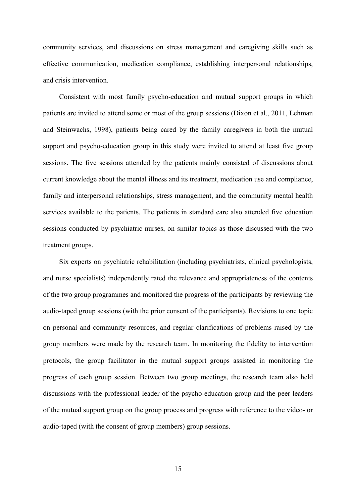community services, and discussions on stress management and caregiving skills such as effective communication, medication compliance, establishing interpersonal relationships, and crisis intervention.

Consistent with most family psycho-education and mutual support groups in which patients are invited to attend some or most of the group sessions (Dixon et al., 2011, Lehman and Steinwachs, 1998), patients being cared by the family caregivers in both the mutual support and psycho-education group in this study were invited to attend at least five group sessions. The five sessions attended by the patients mainly consisted of discussions about current knowledge about the mental illness and its treatment, medication use and compliance, family and interpersonal relationships, stress management, and the community mental health services available to the patients. The patients in standard care also attended five education sessions conducted by psychiatric nurses, on similar topics as those discussed with the two treatment groups.

Six experts on psychiatric rehabilitation (including psychiatrists, clinical psychologists, and nurse specialists) independently rated the relevance and appropriateness of the contents of the two group programmes and monitored the progress of the participants by reviewing the audio-taped group sessions (with the prior consent of the participants). Revisions to one topic on personal and community resources, and regular clarifications of problems raised by the group members were made by the research team. In monitoring the fidelity to intervention protocols, the group facilitator in the mutual support groups assisted in monitoring the progress of each group session. Between two group meetings, the research team also held discussions with the professional leader of the psycho-education group and the peer leaders of the mutual support group on the group process and progress with reference to the video- or audio-taped (with the consent of group members) group sessions.

15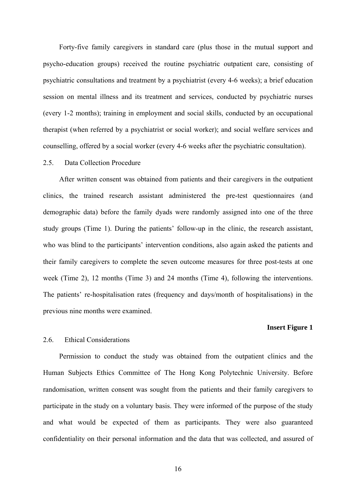Forty-five family caregivers in standard care (plus those in the mutual support and psycho-education groups) received the routine psychiatric outpatient care, consisting of psychiatric consultations and treatment by a psychiatrist (every 4-6 weeks); a brief education session on mental illness and its treatment and services, conducted by psychiatric nurses (every 1-2 months); training in employment and social skills, conducted by an occupational therapist (when referred by a psychiatrist or social worker); and social welfare services and counselling, offered by a social worker (every 4-6 weeks after the psychiatric consultation).

## 2.5. Data Collection Procedure

After written consent was obtained from patients and their caregivers in the outpatient clinics, the trained research assistant administered the pre-test questionnaires (and demographic data) before the family dyads were randomly assigned into one of the three study groups (Time 1). During the patients' follow-up in the clinic, the research assistant, who was blind to the participants' intervention conditions, also again asked the patients and their family caregivers to complete the seven outcome measures for three post-tests at one week (Time 2), 12 months (Time 3) and 24 months (Time 4), following the interventions. The patients' re-hospitalisation rates (frequency and days/month of hospitalisations) in the previous nine months were examined.

#### **Insert Figure 1**

# 2.6. Ethical Considerations

Permission to conduct the study was obtained from the outpatient clinics and the Human Subjects Ethics Committee of The Hong Kong Polytechnic University. Before randomisation, written consent was sought from the patients and their family caregivers to participate in the study on a voluntary basis. They were informed of the purpose of the study and what would be expected of them as participants. They were also guaranteed confidentiality on their personal information and the data that was collected, and assured of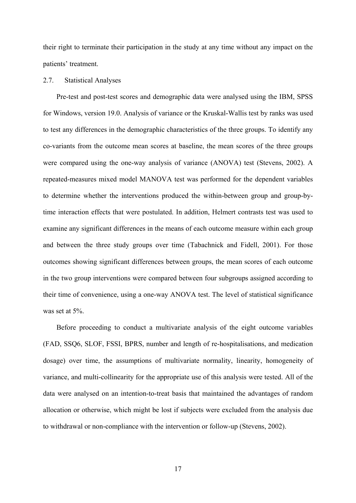their right to terminate their participation in the study at any time without any impact on the patients' treatment.

#### 2.7. Statistical Analyses

Pre-test and post-test scores and demographic data were analysed using the IBM, SPSS for Windows, version 19.0. Analysis of variance or the Kruskal-Wallis test by ranks was used to test any differences in the demographic characteristics of the three groups. To identify any co-variants from the outcome mean scores at baseline, the mean scores of the three groups were compared using the one-way analysis of variance (ANOVA) test (Stevens, 2002). A repeated-measures mixed model MANOVA test was performed for the dependent variables to determine whether the interventions produced the within-between group and group-bytime interaction effects that were postulated. In addition, Helmert contrasts test was used to examine any significant differences in the means of each outcome measure within each group and between the three study groups over time (Tabachnick and Fidell, 2001). For those outcomes showing significant differences between groups, the mean scores of each outcome in the two group interventions were compared between four subgroups assigned according to their time of convenience, using a one-way ANOVA test. The level of statistical significance was set at 5%.

Before proceeding to conduct a multivariate analysis of the eight outcome variables (FAD, SSQ6, SLOF, FSSI, BPRS, number and length of re-hospitalisations, and medication dosage) over time, the assumptions of multivariate normality, linearity, homogeneity of variance, and multi-collinearity for the appropriate use of this analysis were tested. All of the data were analysed on an intention-to-treat basis that maintained the advantages of random allocation or otherwise, which might be lost if subjects were excluded from the analysis due to withdrawal or non-compliance with the intervention or follow-up (Stevens, 2002).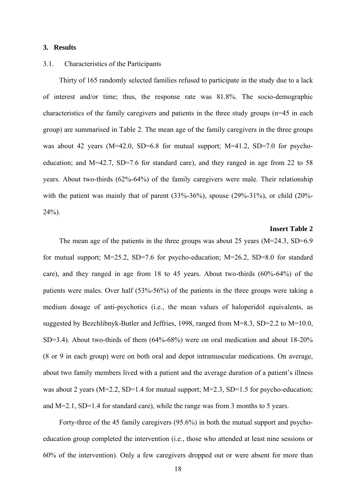### **3. Results**

# 3.1. Characteristics of the Participants

Thirty of 165 randomly selected families refused to participate in the study due to a lack of interest and/or time; thus, the response rate was 81.8%. The socio-demographic characteristics of the family caregivers and patients in the three study groups (n=45 in each group) are summarised in Table 2. The mean age of the family caregivers in the three groups was about 42 years  $(M=42.0, SD=6.8$  for mutual support;  $M=41.2, SD=7.0$  for psychoeducation; and M=42.7, SD=7.6 for standard care), and they ranged in age from 22 to 58 years. About two-thirds (62%-64%) of the family caregivers were male. Their relationship with the patient was mainly that of parent (33%-36%), spouse (29%-31%), or child (20%-24%).

# **Insert Table 2**

The mean age of the patients in the three groups was about 25 years (M=24.3, SD=6.9) for mutual support; M=25.2, SD=7.6 for psycho-education; M=26.2, SD=8.0 for standard care), and they ranged in age from 18 to 45 years. About two-thirds (60%-64%) of the patients were males. Over half (53%-56%) of the patients in the three groups were taking a medium dosage of anti-psychotics (i.e., the mean values of haloperidol equivalents, as suggested by Bezchlibnyk-Butler and Jeffries, 1998, ranged from M=8.3, SD=2.2 to M=10.0, SD=3.4). About two-thirds of them (64%-68%) were on oral medication and about 18-20% (8 or 9 in each group) were on both oral and depot intramuscular medications. On average, about two family members lived with a patient and the average duration of a patient's illness was about 2 years (M=2.2, SD=1.4 for mutual support; M=2.3, SD=1.5 for psycho-education; and M=2.1, SD=1.4 for standard care), while the range was from 3 months to 5 years.

Forty-three of the 45 family caregivers (95.6%) in both the mutual support and psychoeducation group completed the intervention (i.e., those who attended at least nine sessions or 60% of the intervention). Only a few caregivers dropped out or were absent for more than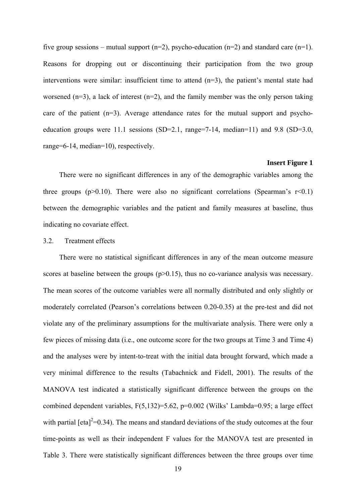five group sessions – mutual support  $(n=2)$ , psycho-education  $(n=2)$  and standard care  $(n=1)$ . Reasons for dropping out or discontinuing their participation from the two group interventions were similar: insufficient time to attend (n=3), the patient's mental state had worsened  $(n=3)$ , a lack of interest  $(n=2)$ , and the family member was the only person taking care of the patient (n=3). Average attendance rates for the mutual support and psychoeducation groups were 11.1 sessions  $(SD=2.1, \text{range}=7-14, \text{median}=11)$  and 9.8  $(SD=3.0, \text{R})$ range=6-14, median=10), respectively.

## **Insert Figure 1**

There were no significant differences in any of the demographic variables among the three groups ( $p>0.10$ ). There were also no significant correlations (Spearman's  $r<0.1$ ) between the demographic variables and the patient and family measures at baseline, thus indicating no covariate effect.

# 3.2. Treatment effects

There were no statistical significant differences in any of the mean outcome measure scores at baseline between the groups  $(p>0.15)$ , thus no co-variance analysis was necessary. The mean scores of the outcome variables were all normally distributed and only slightly or moderately correlated (Pearson's correlations between 0.20-0.35) at the pre-test and did not violate any of the preliminary assumptions for the multivariate analysis. There were only a few pieces of missing data (i.e., one outcome score for the two groups at Time 3 and Time 4) and the analyses were by intent-to-treat with the initial data brought forward, which made a very minimal difference to the results (Tabachnick and Fidell, 2001). The results of the MANOVA test indicated a statistically significant difference between the groups on the combined dependent variables, F(5,132)=5.62, p=0.002 (Wilks' Lambda=0.95; a large effect with partial [eta] $^2$ =0.34). The means and standard deviations of the study outcomes at the four time-points as well as their independent F values for the MANOVA test are presented in Table 3. There were statistically significant differences between the three groups over time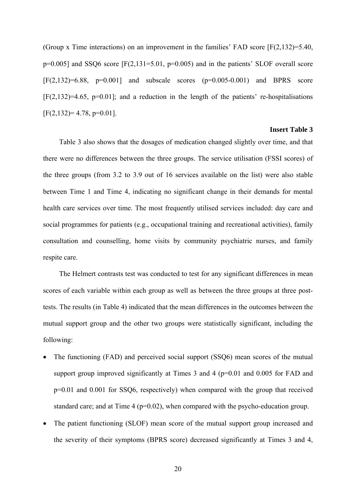(Group x Time interactions) on an improvement in the families' FAD score [F(2,132)=5.40,  $p=0.005$ ] and SSQ6 score [F(2,131=5.01,  $p=0.005$ ) and in the patients' SLOF overall score  $[F(2,132)=6.88, p=0.001]$  and subscale scores  $(p=0.005-0.001)$  and BPRS score  $[F(2,132)=4.65, p=0.01]$ ; and a reduction in the length of the patients' re-hospitalisations  $[F(2,132)=4.78, p=0.01].$ 

# **Insert Table 3**

Table 3 also shows that the dosages of medication changed slightly over time, and that there were no differences between the three groups. The service utilisation (FSSI scores) of the three groups (from 3.2 to 3.9 out of 16 services available on the list) were also stable between Time 1 and Time 4, indicating no significant change in their demands for mental health care services over time. The most frequently utilised services included: day care and social programmes for patients (e.g., occupational training and recreational activities), family consultation and counselling, home visits by community psychiatric nurses, and family respite care.

The Helmert contrasts test was conducted to test for any significant differences in mean scores of each variable within each group as well as between the three groups at three posttests. The results (in Table 4) indicated that the mean differences in the outcomes between the mutual support group and the other two groups were statistically significant, including the following:

- The functioning (FAD) and perceived social support (SSQ6) mean scores of the mutual support group improved significantly at Times 3 and 4 (p=0.01 and 0.005 for FAD and p=0.01 and 0.001 for SSQ6, respectively) when compared with the group that received standard care; and at Time 4 (p=0.02), when compared with the psycho-education group.
- The patient functioning (SLOF) mean score of the mutual support group increased and the severity of their symptoms (BPRS score) decreased significantly at Times 3 and 4,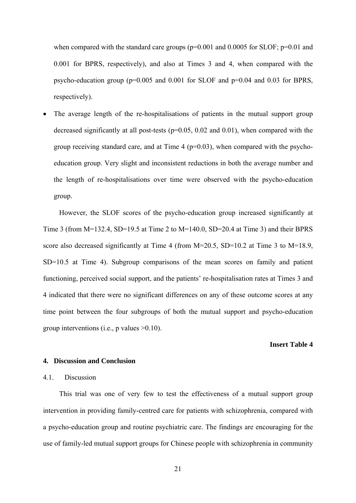when compared with the standard care groups ( $p=0.001$  and 0.0005 for SLOF;  $p=0.01$  and 0.001 for BPRS, respectively), and also at Times 3 and 4, when compared with the psycho-education group (p=0.005 and 0.001 for SLOF and p=0.04 and 0.03 for BPRS, respectively).

 The average length of the re-hospitalisations of patients in the mutual support group decreased significantly at all post-tests ( $p=0.05$ , 0.02 and 0.01), when compared with the group receiving standard care, and at Time  $4$  ( $p=0.03$ ), when compared with the psychoeducation group. Very slight and inconsistent reductions in both the average number and the length of re-hospitalisations over time were observed with the psycho-education group.

However, the SLOF scores of the psycho-education group increased significantly at Time 3 (from M=132.4, SD=19.5 at Time 2 to M=140.0, SD=20.4 at Time 3) and their BPRS score also decreased significantly at Time 4 (from M=20.5, SD=10.2 at Time 3 to M=18.9, SD=10.5 at Time 4). Subgroup comparisons of the mean scores on family and patient functioning, perceived social support, and the patients' re-hospitalisation rates at Times 3 and 4 indicated that there were no significant differences on any of these outcome scores at any time point between the four subgroups of both the mutual support and psycho-education group interventions (i.e., p values  $>0.10$ ).

# **Insert Table 4**

#### **4. Discussion and Conclusion**

## 4.1. Discussion

This trial was one of very few to test the effectiveness of a mutual support group intervention in providing family-centred care for patients with schizophrenia, compared with a psycho-education group and routine psychiatric care. The findings are encouraging for the use of family-led mutual support groups for Chinese people with schizophrenia in community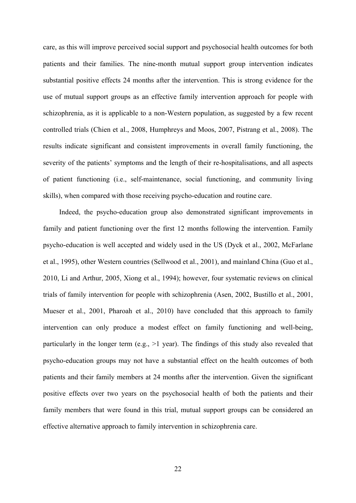care, as this will improve perceived social support and psychosocial health outcomes for both patients and their families. The nine-month mutual support group intervention indicates substantial positive effects 24 months after the intervention. This is strong evidence for the use of mutual support groups as an effective family intervention approach for people with schizophrenia, as it is applicable to a non-Western population, as suggested by a few recent controlled trials (Chien et al., 2008, Humphreys and Moos, 2007, Pistrang et al., 2008). The results indicate significant and consistent improvements in overall family functioning, the severity of the patients' symptoms and the length of their re-hospitalisations, and all aspects of patient functioning (i.e., self-maintenance, social functioning, and community living skills), when compared with those receiving psycho-education and routine care.

Indeed, the psycho-education group also demonstrated significant improvements in family and patient functioning over the first 12 months following the intervention. Family psycho-education is well accepted and widely used in the US (Dyck et al., 2002, McFarlane et al., 1995), other Western countries (Sellwood et al., 2001), and mainland China (Guo et al., 2010, Li and Arthur, 2005, Xiong et al., 1994); however, four systematic reviews on clinical trials of family intervention for people with schizophrenia (Asen, 2002, Bustillo et al., 2001, Mueser et al., 2001, Pharoah et al., 2010) have concluded that this approach to family intervention can only produce a modest effect on family functioning and well-being, particularly in the longer term (e.g.,  $>1$  year). The findings of this study also revealed that psycho-education groups may not have a substantial effect on the health outcomes of both patients and their family members at 24 months after the intervention. Given the significant positive effects over two years on the psychosocial health of both the patients and their family members that were found in this trial, mutual support groups can be considered an effective alternative approach to family intervention in schizophrenia care.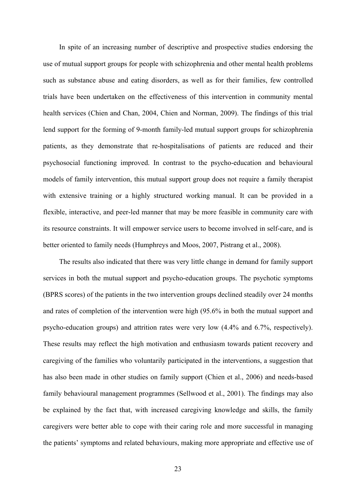In spite of an increasing number of descriptive and prospective studies endorsing the use of mutual support groups for people with schizophrenia and other mental health problems such as substance abuse and eating disorders, as well as for their families, few controlled trials have been undertaken on the effectiveness of this intervention in community mental health services (Chien and Chan, 2004, Chien and Norman, 2009). The findings of this trial lend support for the forming of 9-month family-led mutual support groups for schizophrenia patients, as they demonstrate that re-hospitalisations of patients are reduced and their psychosocial functioning improved. In contrast to the psycho-education and behavioural models of family intervention, this mutual support group does not require a family therapist with extensive training or a highly structured working manual. It can be provided in a flexible, interactive, and peer-led manner that may be more feasible in community care with its resource constraints. It will empower service users to become involved in self-care, and is better oriented to family needs (Humphreys and Moos, 2007, Pistrang et al., 2008).

The results also indicated that there was very little change in demand for family support services in both the mutual support and psycho-education groups. The psychotic symptoms (BPRS scores) of the patients in the two intervention groups declined steadily over 24 months and rates of completion of the intervention were high (95.6% in both the mutual support and psycho-education groups) and attrition rates were very low (4.4% and 6.7%, respectively). These results may reflect the high motivation and enthusiasm towards patient recovery and caregiving of the families who voluntarily participated in the interventions, a suggestion that has also been made in other studies on family support (Chien et al., 2006) and needs-based family behavioural management programmes (Sellwood et al., 2001). The findings may also be explained by the fact that, with increased caregiving knowledge and skills, the family caregivers were better able to cope with their caring role and more successful in managing the patients' symptoms and related behaviours, making more appropriate and effective use of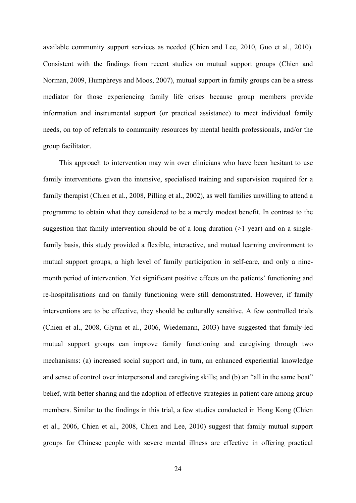available community support services as needed (Chien and Lee, 2010, Guo et al., 2010). Consistent with the findings from recent studies on mutual support groups (Chien and Norman, 2009, Humphreys and Moos, 2007), mutual support in family groups can be a stress mediator for those experiencing family life crises because group members provide information and instrumental support (or practical assistance) to meet individual family needs, on top of referrals to community resources by mental health professionals, and/or the group facilitator.

This approach to intervention may win over clinicians who have been hesitant to use family interventions given the intensive, specialised training and supervision required for a family therapist (Chien et al., 2008, Pilling et al., 2002), as well families unwilling to attend a programme to obtain what they considered to be a merely modest benefit. In contrast to the suggestion that family intervention should be of a long duration  $(>1$  year) and on a singlefamily basis, this study provided a flexible, interactive, and mutual learning environment to mutual support groups, a high level of family participation in self-care, and only a ninemonth period of intervention. Yet significant positive effects on the patients' functioning and re-hospitalisations and on family functioning were still demonstrated. However, if family interventions are to be effective, they should be culturally sensitive. A few controlled trials (Chien et al., 2008, Glynn et al., 2006, Wiedemann, 2003) have suggested that family-led mutual support groups can improve family functioning and caregiving through two mechanisms: (a) increased social support and, in turn, an enhanced experiential knowledge and sense of control over interpersonal and caregiving skills; and (b) an "all in the same boat" belief, with better sharing and the adoption of effective strategies in patient care among group members. Similar to the findings in this trial, a few studies conducted in Hong Kong (Chien et al., 2006, Chien et al., 2008, Chien and Lee, 2010) suggest that family mutual support groups for Chinese people with severe mental illness are effective in offering practical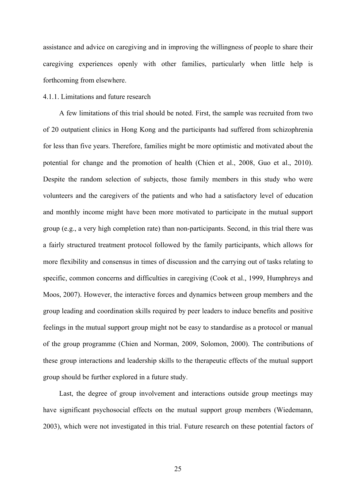assistance and advice on caregiving and in improving the willingness of people to share their caregiving experiences openly with other families, particularly when little help is forthcoming from elsewhere.

## 4.1.1. Limitations and future research

A few limitations of this trial should be noted. First, the sample was recruited from two of 20 outpatient clinics in Hong Kong and the participants had suffered from schizophrenia for less than five years. Therefore, families might be more optimistic and motivated about the potential for change and the promotion of health (Chien et al., 2008, Guo et al., 2010). Despite the random selection of subjects, those family members in this study who were volunteers and the caregivers of the patients and who had a satisfactory level of education and monthly income might have been more motivated to participate in the mutual support group (e.g., a very high completion rate) than non-participants. Second, in this trial there was a fairly structured treatment protocol followed by the family participants, which allows for more flexibility and consensus in times of discussion and the carrying out of tasks relating to specific, common concerns and difficulties in caregiving (Cook et al., 1999, Humphreys and Moos, 2007). However, the interactive forces and dynamics between group members and the group leading and coordination skills required by peer leaders to induce benefits and positive feelings in the mutual support group might not be easy to standardise as a protocol or manual of the group programme (Chien and Norman, 2009, Solomon, 2000). The contributions of these group interactions and leadership skills to the therapeutic effects of the mutual support group should be further explored in a future study.

Last, the degree of group involvement and interactions outside group meetings may have significant psychosocial effects on the mutual support group members (Wiedemann, 2003), which were not investigated in this trial. Future research on these potential factors of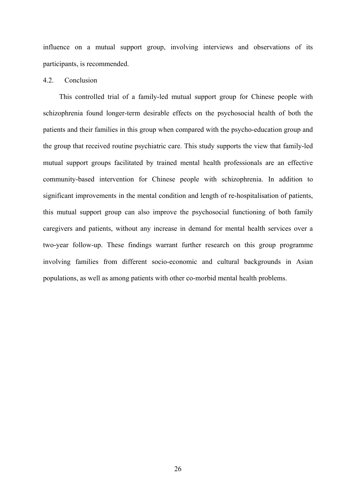influence on a mutual support group, involving interviews and observations of its participants, is recommended.

#### 4.2. Conclusion

This controlled trial of a family-led mutual support group for Chinese people with schizophrenia found longer-term desirable effects on the psychosocial health of both the patients and their families in this group when compared with the psycho-education group and the group that received routine psychiatric care. This study supports the view that family-led mutual support groups facilitated by trained mental health professionals are an effective community-based intervention for Chinese people with schizophrenia. In addition to significant improvements in the mental condition and length of re-hospitalisation of patients, this mutual support group can also improve the psychosocial functioning of both family caregivers and patients, without any increase in demand for mental health services over a two-year follow-up. These findings warrant further research on this group programme involving families from different socio-economic and cultural backgrounds in Asian populations, as well as among patients with other co-morbid mental health problems.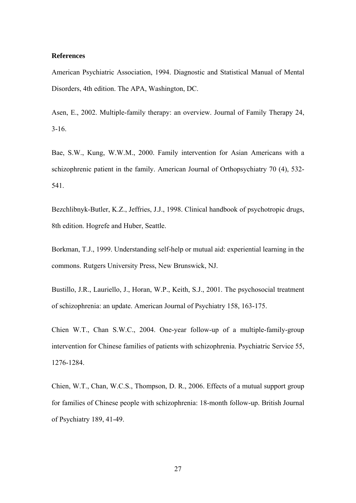# **References**

American Psychiatric Association, 1994. Diagnostic and Statistical Manual of Mental Disorders, 4th edition. The APA, Washington, DC.

Asen, E., 2002. Multiple-family therapy: an overview. Journal of Family Therapy 24,  $3-16.$ 

Bae, S.W., Kung, W.W.M., 2000. Family intervention for Asian Americans with a schizophrenic patient in the family. American Journal of Orthopsychiatry 70 (4), 532- 541.

Bezchlibnyk-Butler, K.Z., Jeffries, J.J., 1998. Clinical handbook of psychotropic drugs, 8th edition. Hogrefe and Huber, Seattle.

Borkman, T.J., 1999. Understanding self-help or mutual aid: experiential learning in the commons. Rutgers University Press, New Brunswick, NJ.

Bustillo, J.R., Lauriello, J., Horan, W.P., Keith, S.J., 2001. The psychosocial treatment of schizophrenia: an update. American Journal of Psychiatry 158, 163-175.

Chien W.T., Chan S.W.C., 2004. One-year follow-up of a multiple-family-group intervention for Chinese families of patients with schizophrenia. Psychiatric Service 55, 1276-1284.

Chien, W.T., Chan, W.C.S., Thompson, D. R., 2006. Effects of a mutual support group for families of Chinese people with schizophrenia: 18-month follow-up. British Journal of Psychiatry 189, 41-49.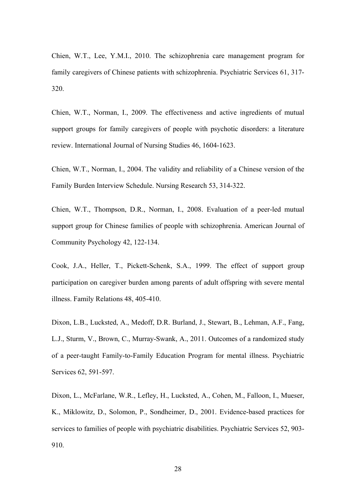Chien, W.T., Lee, Y.M.I., 2010. The schizophrenia care management program for family caregivers of Chinese patients with schizophrenia. Psychiatric Services 61, 317- 320.

Chien, W.T., Norman, I., 2009. The effectiveness and active ingredients of mutual support groups for family caregivers of people with psychotic disorders: a literature review. International Journal of Nursing Studies 46, 1604-1623.

Chien, W.T., Norman, I., 2004. The validity and reliability of a Chinese version of the Family Burden Interview Schedule. Nursing Research 53, 314-322.

Chien, W.T., Thompson, D.R., Norman, I., 2008. Evaluation of a peer-led mutual support group for Chinese families of people with schizophrenia. American Journal of Community Psychology 42, 122-134.

Cook, J.A., Heller, T., Pickett-Schenk, S.A., 1999. The effect of support group participation on caregiver burden among parents of adult offspring with severe mental illness. Family Relations 48, 405-410.

Dixon, L.B., Lucksted, A., Medoff, D.R. Burland, J., Stewart, B., Lehman, A.F., Fang, L.J., Sturm, V., Brown, C., Murray-Swank, A., 2011. Outcomes of a randomized study of a peer-taught Family-to-Family Education Program for mental illness. Psychiatric Services 62, 591-597.

Dixon, L., McFarlane, W.R., Lefley, H., Lucksted, A., Cohen, M., Falloon, I., Mueser, K., Miklowitz, D., Solomon, P., Sondheimer, D., 2001. Evidence-based practices for services to families of people with psychiatric disabilities. Psychiatric Services 52, 903- 910.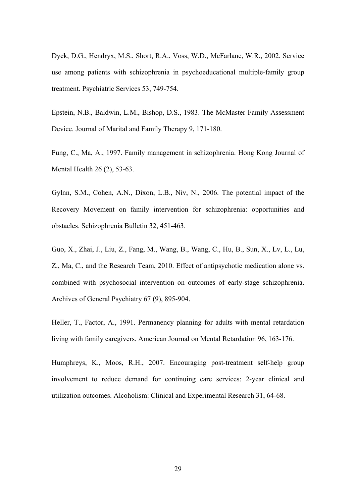Dyck, D.G., Hendryx, M.S., Short, R.A., Voss, W.D., McFarlane, W.R., 2002. Service use among patients with schizophrenia in psychoeducational multiple-family group treatment. Psychiatric Services 53, 749-754.

Epstein, N.B., Baldwin, L.M., Bishop, D.S., 1983. The McMaster Family Assessment Device. Journal of Marital and Family Therapy 9, 171-180.

Fung, C., Ma, A., 1997. Family management in schizophrenia. Hong Kong Journal of Mental Health 26 (2), 53-63.

Gylnn, S.M., Cohen, A.N., Dixon, L.B., Niv, N., 2006. The potential impact of the Recovery Movement on family intervention for schizophrenia: opportunities and obstacles. Schizophrenia Bulletin 32, 451-463.

Guo, X., Zhai, J., Liu, Z., Fang, M., Wang, B., Wang, C., Hu, B., Sun, X., Lv, L., Lu, Z., Ma, C., and the Research Team, 2010. Effect of antipsychotic medication alone vs. combined with psychosocial intervention on outcomes of early-stage schizophrenia. Archives of General Psychiatry 67 (9), 895-904.

Heller, T., Factor, A., 1991. Permanency planning for adults with mental retardation living with family caregivers. American Journal on Mental Retardation 96, 163-176.

Humphreys, K., Moos, R.H., 2007. Encouraging post-treatment self-help group involvement to reduce demand for continuing care services: 2-year clinical and utilization outcomes. Alcoholism: Clinical and Experimental Research 31, 64-68.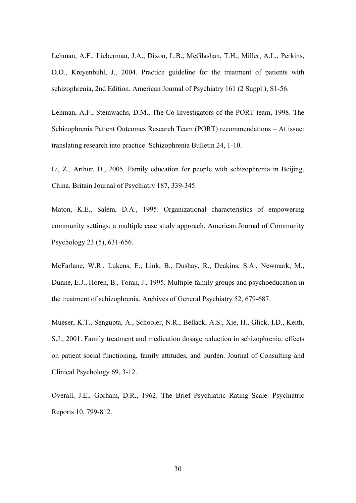Lehman, A.F., Lieberman, J.A., Dixon, L.B., McGlashan, T.H., Miller, A.L., Perkins, D.O., Kreyenbuhl, J., 2004. Practice guideline for the treatment of patients with schizophrenia, 2nd Edition. American Journal of Psychiatry 161 (2 Suppl.), S1-56.

Lehman, A.F., Steinwachs, D.M., The Co-Investigators of the PORT team, 1998. The Schizophrenia Patient Outcomes Research Team (PORT) recommendations – At issue: translating research into practice. Schizophrenia Bulletin 24, 1-10.

Li, Z., Arthur, D., 2005. Family education for people with schizophrenia in Beijing, China. Britain Journal of Psychiatry 187, 339-345.

Maton, K.E., Salem, D.A., 1995. Organizational characteristics of empowering community settings: a multiple case study approach. American Journal of Community Psychology 23 (5), 631-656.

McFarlane, W.R., Lukens, E., Link, B., Dushay, R., Deakins, S.A., Newmark, M., Dunne, E.J., Horen, B., Toran, J., 1995. Multiple-family groups and psychoeducation in the treatment of schizophrenia. Archives of General Psychiatry 52, 679-687.

Mueser, K.T., Sengupta, A., Schooler, N.R., Bellack, A.S., Xie, H., Glick, I.D., Keith, S.J., 2001. Family treatment and medication dosage reduction in schizophrenia: effects on patient social functioning, family attitudes, and burden. Journal of Consulting and Clinical Psychology 69, 3-12.

Overall, J.E., Gorham, D.R., 1962. The Brief Psychiatric Rating Scale. Psychiatric Reports 10, 799-812.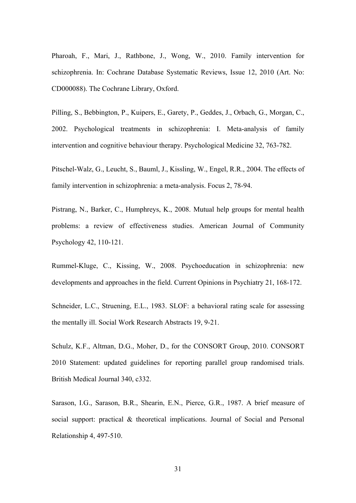Pharoah, F., Mari, J., Rathbone, J., Wong, W., 2010. Family intervention for schizophrenia. In: Cochrane Database Systematic Reviews, Issue 12, 2010 (Art. No: CD000088). The Cochrane Library, Oxford.

Pilling, S., Bebbington, P., Kuipers, E., Garety, P., Geddes, J., Orbach, G., Morgan, C., 2002. Psychological treatments in schizophrenia: I. Meta-analysis of family intervention and cognitive behaviour therapy. Psychological Medicine 32, 763-782.

Pitschel-Walz, G., Leucht, S., Bauml, J., Kissling, W., Engel, R.R., 2004. The effects of family intervention in schizophrenia: a meta-analysis. Focus 2, 78-94.

Pistrang, N., Barker, C., Humphreys, K., 2008. Mutual help groups for mental health problems: a review of effectiveness studies. American Journal of Community Psychology 42, 110-121.

Rummel-Kluge, C., Kissing, W., 2008. Psychoeducation in schizophrenia: new developments and approaches in the field. Current Opinions in Psychiatry 21, 168-172.

Schneider, L.C., Struening, E.L., 1983. SLOF: a behavioral rating scale for assessing the mentally ill. Social Work Research Abstracts 19, 9-21.

Schulz, K.F., Altman, D.G., Moher, D., for the CONSORT Group, 2010. CONSORT 2010 Statement: updated guidelines for reporting parallel group randomised trials. British Medical Journal 340, c332.

Sarason, I.G., Sarason, B.R., Shearin, E.N., Pierce, G.R., 1987. A brief measure of social support: practical & theoretical implications. Journal of Social and Personal Relationship 4, 497-510.

31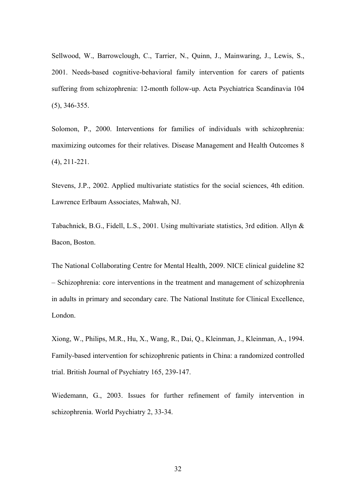Sellwood, W., Barrowclough, C., Tarrier, N., Quinn, J., Mainwaring, J., Lewis, S., 2001. Needs-based cognitive-behavioral family intervention for carers of patients suffering from schizophrenia: 12-month follow-up. Acta Psychiatrica Scandinavia 104 (5), 346-355.

Solomon, P., 2000. Interventions for families of individuals with schizophrenia: maximizing outcomes for their relatives. Disease Management and Health Outcomes 8 (4), 211-221.

Stevens, J.P., 2002. Applied multivariate statistics for the social sciences, 4th edition. Lawrence Erlbaum Associates, Mahwah, NJ.

Tabachnick, B.G., Fidell, L.S., 2001. Using multivariate statistics, 3rd edition. Allyn & Bacon, Boston.

The National Collaborating Centre for Mental Health, 2009. NICE clinical guideline 82 – Schizophrenia: core interventions in the treatment and management of schizophrenia in adults in primary and secondary care. The National Institute for Clinical Excellence, London.

Xiong, W., Philips, M.R., Hu, X., Wang, R., Dai, Q., Kleinman, J., Kleinman, A., 1994. Family-based intervention for schizophrenic patients in China: a randomized controlled trial. British Journal of Psychiatry 165, 239-147.

Wiedemann, G., 2003. Issues for further refinement of family intervention in schizophrenia. World Psychiatry 2, 33-34.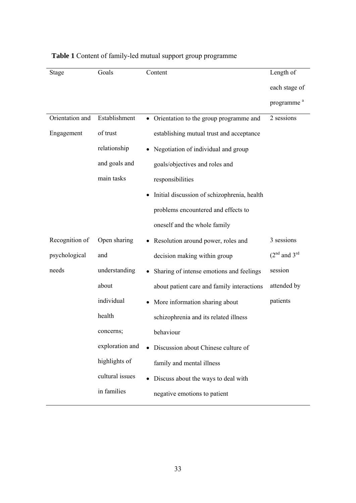| Stage           | Goals           | Content                                     | Length of              |
|-----------------|-----------------|---------------------------------------------|------------------------|
|                 |                 |                                             | each stage of          |
|                 |                 |                                             | programme <sup>a</sup> |
| Orientation and | Establishment   | • Orientation to the group programme and    | 2 sessions             |
| Engagement      | of trust        | establishing mutual trust and acceptance    |                        |
|                 | relationship    | Negotiation of individual and group         |                        |
|                 | and goals and   | goals/objectives and roles and              |                        |
|                 | main tasks      | responsibilities                            |                        |
|                 |                 | Initial discussion of schizophrenia, health |                        |
|                 |                 | problems encountered and effects to         |                        |
|                 |                 | oneself and the whole family                |                        |
| Recognition of  | Open sharing    | • Resolution around power, roles and        | 3 sessions             |
| psychological   | and             | decision making within group                | $(2nd$ and $3rd$       |
| needs           | understanding   | Sharing of intense emotions and feelings    | session                |
|                 | about           | about patient care and family interactions  | attended by            |
|                 | individual      | More information sharing about              | patients               |
|                 | health          | schizophrenia and its related illness       |                        |
|                 | concerns:       | behaviour                                   |                        |
|                 | exploration and | • Discussion about Chinese culture of       |                        |
|                 | highlights of   | family and mental illness                   |                        |
|                 | cultural issues | Discuss about the ways to deal with         |                        |
|                 | in families     | negative emotions to patient                |                        |
|                 |                 |                                             |                        |

# **Table 1** Content of family-led mutual support group programme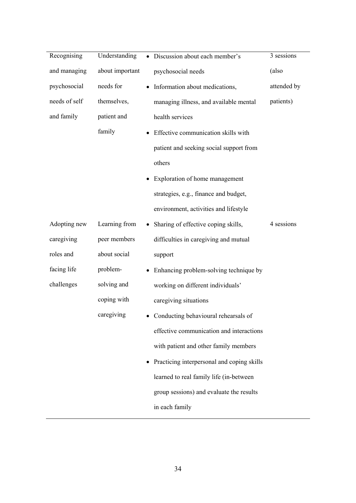| Recognising   | Understanding   |           | • Discussion about each member's           | 3 sessions  |
|---------------|-----------------|-----------|--------------------------------------------|-------------|
| and managing  | about important |           | psychosocial needs                         | (also       |
| psychosocial  | needs for       |           | Information about medications,             | attended by |
| needs of self | themselves,     |           | managing illness, and available mental     | patients)   |
| and family    | patient and     |           | health services                            |             |
|               | family          |           | Effective communication skills with        |             |
|               |                 |           | patient and seeking social support from    |             |
|               |                 |           | others                                     |             |
|               |                 |           | Exploration of home management             |             |
|               |                 |           | strategies, e.g., finance and budget,      |             |
|               |                 |           | environment, activities and lifestyle      |             |
| Adopting new  | Learning from   | $\bullet$ | Sharing of effective coping skills,        | 4 sessions  |
| caregiving    | peer members    |           | difficulties in caregiving and mutual      |             |
| roles and     | about social    |           | support                                    |             |
| facing life   | problem-        |           | Enhancing problem-solving technique by     |             |
| challenges    | solving and     |           | working on different individuals'          |             |
|               | coping with     |           | caregiving situations                      |             |
|               | caregiving      | ٠         | Conducting behavioural rehearsals of       |             |
|               |                 |           | effective communication and interactions   |             |
|               |                 |           | with patient and other family members      |             |
|               |                 |           | Practicing interpersonal and coping skills |             |
|               |                 |           | learned to real family life (in-between    |             |
|               |                 |           | group sessions) and evaluate the results   |             |
|               |                 |           | in each family                             |             |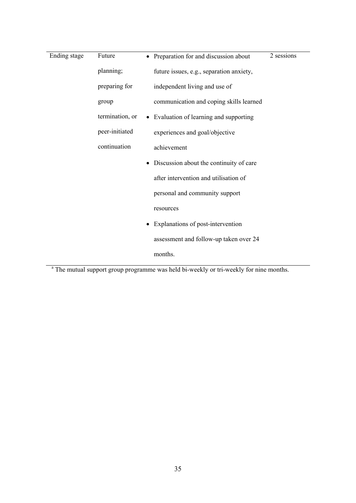| Ending stage   | Future          | • Preparation for and discussion about   | 2 sessions |
|----------------|-----------------|------------------------------------------|------------|
|                | planning;       | future issues, e.g., separation anxiety, |            |
|                | preparing for   | independent living and use of            |            |
|                | group           | communication and coping skills learned  |            |
|                | termination, or | • Evaluation of learning and supporting  |            |
|                | peer-initiated  | experiences and goal/objective           |            |
|                | continuation    | achievement                              |            |
|                |                 | Discussion about the continuity of care  |            |
|                |                 | after intervention and utilisation of    |            |
|                |                 | personal and community support           |            |
|                |                 | resources                                |            |
|                |                 | Explanations of post-intervention        |            |
|                |                 | assessment and follow-up taken over 24   |            |
|                |                 | months.                                  |            |
| T <sub>1</sub> |                 | 1.1111<br>11 <sub>0</sub>                |            |

<sup>a</sup> The mutual support group programme was held bi-weekly or tri-weekly for nine months.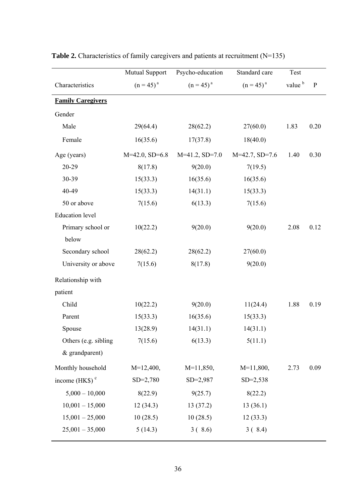|                            | <b>Mutual Support</b> | Psycho-education | Standard care    | Test               |              |
|----------------------------|-----------------------|------------------|------------------|--------------------|--------------|
| Characteristics            | $(n = 45)^{a}$        | $(n = 45)^{a}$   | $(n = 45)^{a}$   | value <sup>b</sup> | $\mathbf{P}$ |
| <b>Family Caregivers</b>   |                       |                  |                  |                    |              |
| Gender                     |                       |                  |                  |                    |              |
| Male                       | 29(64.4)              | 28(62.2)         | 27(60.0)         | 1.83               | 0.20         |
| Female                     | 16(35.6)              | 17(37.8)         | 18(40.0)         |                    |              |
| Age (years)                | $M=42.0, SD=6.8$      | $M=41.2, SD=7.0$ | $M=42.7, SD=7.6$ | 1.40               | 0.30         |
| 20-29                      | 8(17.8)               | 9(20.0)          | 7(19.5)          |                    |              |
| 30-39                      | 15(33.3)              | 16(35.6)         | 16(35.6)         |                    |              |
| 40-49                      | 15(33.3)              | 14(31.1)         | 15(33.3)         |                    |              |
| 50 or above                | 7(15.6)               | 6(13.3)          | 7(15.6)          |                    |              |
| <b>Education</b> level     |                       |                  |                  |                    |              |
| Primary school or<br>below | 10(22.2)              | 9(20.0)          | 9(20.0)          | 2.08               | 0.12         |
| Secondary school           | 28(62.2)              | 28(62.2)         | 27(60.0)         |                    |              |
| University or above        | 7(15.6)               | 8(17.8)          | 9(20.0)          |                    |              |
| Relationship with          |                       |                  |                  |                    |              |
| patient                    |                       |                  |                  |                    |              |
| Child                      | 10(22.2)              | 9(20.0)          | 11(24.4)         | 1.88               | 0.19         |
| Parent                     | 15(33.3)              | 16(35.6)         | 15(33.3)         |                    |              |
| Spouse                     | 13(28.9)              | 14(31.1)         | 14(31.1)         |                    |              |
| Others (e.g. sibling       | 7(15.6)               | 6(13.3)          | 5(11.1)          |                    |              |
| & grandparent)             |                       |                  |                  |                    |              |
| Monthly household          | $M=12,400,$           | $M=11,850,$      | $M=11,800,$      | 2.73               | 0.09         |
| income $(HK\$ ) $^c$       | $SD = 2,780$          | $SD = 2,987$     | $SD = 2,538$     |                    |              |
| $5,000 - 10,000$           | 8(22.9)               | 9(25.7)          | 8(22.2)          |                    |              |
| $10,001 - 15,000$          | 12(34.3)              | 13(37.2)         | 13(36.1)         |                    |              |
| $15,001 - 25,000$          | 10(28.5)              | 10(28.5)         | 12(33.3)         |                    |              |
| $25,001 - 35,000$          | 5(14.3)               | 3(8.6)           | 3(8.4)           |                    |              |

**Table 2.** Characteristics of family caregivers and patients at recruitment (N=135)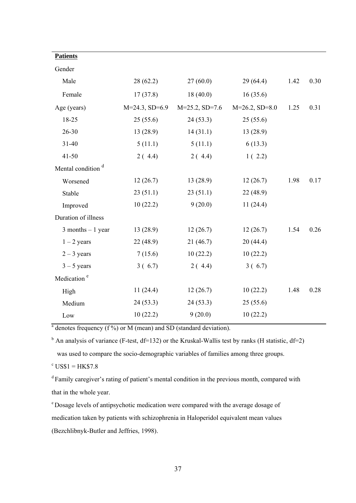| <b>Patients</b>               |                  |                  |                  |      |      |
|-------------------------------|------------------|------------------|------------------|------|------|
| Gender                        |                  |                  |                  |      |      |
| Male                          | 28(62.2)         | 27(60.0)         | 29(64.4)         | 1.42 | 0.30 |
| Female                        | 17(37.8)         | 18(40.0)         | 16(35.6)         |      |      |
| Age (years)                   | $M=24.3, SD=6.9$ | $M=25.2, SD=7.6$ | $M=26.2, SD=8.0$ | 1.25 | 0.31 |
| 18-25                         | 25(55.6)         | 24(53.3)         | 25(55.6)         |      |      |
| $26 - 30$                     | 13 (28.9)        | 14(31.1)         | 13(28.9)         |      |      |
| $31 - 40$                     | 5(11.1)          | 5(11.1)          | 6(13.3)          |      |      |
| $41 - 50$                     | 2(4.4)           | 2(4.4)           | 1(2.2)           |      |      |
| Mental condition <sup>d</sup> |                  |                  |                  |      |      |
| Worsened                      | 12(26.7)         | 13(28.9)         | 12(26.7)         | 1.98 | 0.17 |
| Stable                        | 23(51.1)         | 23(51.1)         | 22(48.9)         |      |      |
| Improved                      | 10(22.2)         | 9(20.0)          | 11(24.4)         |      |      |
| Duration of illness           |                  |                  |                  |      |      |
| $3$ months $-1$ year          | 13(28.9)         | 12(26.7)         | 12(26.7)         | 1.54 | 0.26 |
| $1 - 2$ years                 | 22(48.9)         | 21(46.7)         | 20(44.4)         |      |      |
| $2 - 3$ years                 | 7(15.6)          | 10(22.2)         | 10(22.2)         |      |      |
| $3 - 5$ years                 | 3(6.7)           | 2(4.4)           | 3(6.7)           |      |      |
| Medication <sup>e</sup>       |                  |                  |                  |      |      |
| High                          | 11(24.4)         | 12(26.7)         | 10(22.2)         | 1.48 | 0.28 |
| Medium                        | 24(53.3)         | 24(53.3)         | 25(55.6)         |      |      |
| Low                           | 10(22.2)         | 9(20.0)          | 10(22.2)         |      |      |
|                               |                  |                  |                  |      |      |

<sup>a</sup> denotes frequency (f%) or M (mean) and SD (standard deviation).

<sup>b</sup> An analysis of variance (F-test, df=132) or the Kruskal-Wallis test by ranks (H statistic, df=2) was used to compare the socio-demographic variables of families among three groups.

 $c$  US\$1 = HK\$7.8

<sup>d</sup> Family caregiver's rating of patient's mental condition in the previous month, compared with that in the whole year.

e Dosage levels of antipsychotic medication were compared with the average dosage of medication taken by patients with schizophrenia in Haloperidol equivalent mean values (Bezchlibnyk-Butler and Jeffries, 1998).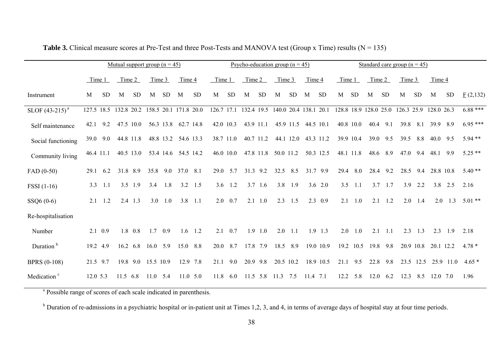|                         |              |                 | Mutual support group ( $n = 45$ ) |                  |                 |                 |                       |                 |            |           | Psycho-education group ( $n = 45$ ) |                 |                                  |           |                     |                 |        |            |                       |           | Standard care group $(n = 45)$ |           |              |                     |           |
|-------------------------|--------------|-----------------|-----------------------------------|------------------|-----------------|-----------------|-----------------------|-----------------|------------|-----------|-------------------------------------|-----------------|----------------------------------|-----------|---------------------|-----------------|--------|------------|-----------------------|-----------|--------------------------------|-----------|--------------|---------------------|-----------|
|                         | Time 1       |                 |                                   | Time 2           | Time 3          |                 | Time 4                |                 | Time 1     |           | Time 2                              |                 | Time 3                           |           | Time 4              |                 | Time 1 |            | Time 2                |           | Time 3                         |           | Time 4       |                     |           |
| Instrument              | M            | <b>SD</b>       | M                                 | <b>SD</b>        | M               | <b>SD</b>       | M                     | <b>SD</b>       | M          | <b>SD</b> | M                                   | <b>SD</b>       | M                                | <b>SD</b> | M                   | <b>SD</b>       | M      | <b>SD</b>  | M                     | <b>SD</b> | M                              | <b>SD</b> | M            | <b>SD</b>           | E(2,132)  |
| $SLOF(43-215)^{a}$      | 127.5 18.5   |                 | 132.8 20.2                        |                  |                 |                 | 158.5 20.1 171.8 20.0 |                 | 126.7 17.1 |           |                                     |                 | 132.4 19.5 140.0 20.4 138.1 20.1 |           |                     |                 |        |            | 128.8 18.9 128.0 25.0 |           | 126.3 25.9                     |           | 128.0 26.3   |                     | $6.88***$ |
| Self maintenance        | $42.1$ 9.2   |                 |                                   | 47.5 10.0        |                 |                 | 56.3 13.8 62.7 14.8   |                 |            | 42.0 10.3 |                                     | 43.9 11.1       |                                  |           | 45.9 11.5 44.5 10.1 |                 |        | 40.8 10.0  |                       | 40.4 9.1  |                                | 39.8 8.1  | 39.9         | 8.9                 | $6.95***$ |
| Social functioning      | 39.0 9.0     |                 |                                   | 44.8 11.8        |                 |                 | 48.8 13.2 54.6 13.3   |                 |            | 38.7 11.0 |                                     | 40.7 11.2       |                                  | 44.1 12.0 |                     | 43.3 11.2       |        | 39.9 10.4  |                       | 39.0 9.5  |                                | 39.5 8.8  | 40.0         | 9.5                 | $5.94**$  |
| Community living        | 46.4 11.1    |                 |                                   | 40.5 13.0        |                 |                 | 53.4 14.6 54.5 14.2   |                 |            | 46.0 10.0 |                                     | 47.8 11.8       | 50.0 11.2                        |           |                     | 50.3 12.5       |        | 48.1 11.8  | 48.6                  | 8.9       | 47.0                           | 9.4       | 48.1 9.9     |                     | $5.25**$  |
| $FAD(0-50)$             | 29.1         | 6.2             |                                   | 31.8 8.9         | 35.8            | 9.0             | 37.0 8.1              |                 | 29.0       | 5.7       | 31.3 9.2                            |                 | 32.5                             | 8.5       | 31.7 9.9            |                 | 29.4   | 8.0        | 28.4                  | 9.2       | 28.5                           | 9.4       | 28.8 10.8    |                     | $5.40**$  |
| $FSSI (1-16)$           | 3.3          | 1.1             |                                   | 3.5 1.9          | 3.4             | 1.8             |                       | $3.2 \quad 1.5$ | 3.6        | 1.2       |                                     | $3.7 \quad 1.6$ | 3.8                              | 1.9       |                     | $3.6$ 2.0       | 3.5    | 1.1        | 3.7                   | 1.7       | 3.9                            | 2.2       | 3.8          | 2.5                 | 2.16      |
| SSQ6 (0-6)              |              | $2.1 \quad 1.2$ |                                   | $2.4$ 1.3        |                 | $3.0 \quad 1.0$ | 3.8                   | 1.1             | 2.0        | 0.7       |                                     | $2.1 \quad 1.0$ | 2.3                              | 1.5       |                     | $2.3 \quad 0.9$ | 2.1    | 1.0        | 2.1                   | 1.2       | 2.0                            | 1.4       | 2.0          | 1.3                 | $5.01**$  |
| Re-hospitalisation      |              |                 |                                   |                  |                 |                 |                       |                 |            |           |                                     |                 |                                  |           |                     |                 |        |            |                       |           |                                |           |              |                     |           |
| Number                  |              | $2.1 \t0.9$     |                                   | 1.8 0.8          | $1.7 \quad 0.9$ |                 | 1.6                   | 1.2             | 2.1        | 0.7       |                                     | $1.9 \quad 1.0$ | 2.0                              | 1.1       |                     | $1.9$ 1.3       | 2.0    | 1.0        | 2.1                   | 1.1       | 2.3                            | 1.3       | 2.3          | 1.9                 | 2.18      |
| Duration <sup>b</sup>   | 19.2 4.9     |                 |                                   | $16.2 \quad 6.8$ | $16.0$ 5.9      |                 | 15.0 8.8              |                 | 20.0       | 8.7       | 17.8 7.9                            |                 |                                  | 18.5 8.9  |                     | 19.0 10.9       | 19.2   | 10.5       |                       | 19.8 9.8  |                                | 20.9 10.8 | 20.1 12.2    |                     | $4.78*$   |
| <b>BPRS (0-108)</b>     | 21.5 9.7     |                 |                                   | 19.8 9.0         | 15.5 10.9       |                 |                       | 12.9 7.8        | 21.1       | 9.0       | 20.9 9.8                            |                 | 20.5 10.2                        |           |                     | 18.9 10.5       |        | $21.1$ 9.5 |                       | 22.8 9.8  |                                |           |              | 23.5 12.5 25.9 11.0 | $4.65*$   |
| Medication <sup>c</sup> | $12.0 \t5.3$ |                 | 11.5 6.8                          |                  | $11.0$ 5.4      |                 |                       | $11.0$ 5.0      | 11.8       | 6.0       |                                     | $11.5$ 5.8      | 11.3                             | 7.5       | 11.4 7.1            |                 | 12.2   | 5.8        | 12.0                  | 6.2       | 12.3                           |           | 8.5 12.0 7.0 |                     | 1.96      |

**Table 3.** Clinical measure scores at Pre-Test and three Post-Tests and MANOVA test (Group x Time) results (N = 135)

<sup>a</sup> Possible range of scores of each scale indicated in parenthesis.

 $<sup>b</sup>$  Duration of re-admissions in a psychiatric hospital or in-patient unit at Times 1,2, 3, and 4, in terms of average days of hospital stay at four time periods.</sup>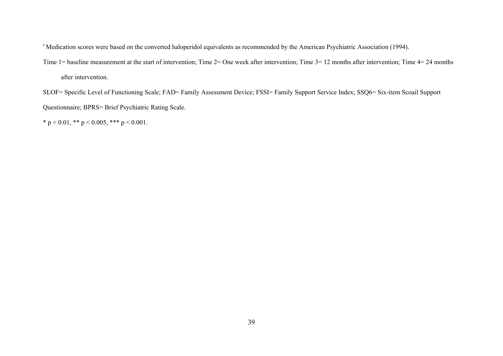<sup>c</sup> Medication scores were based on the converted haloperidol equivalents as recommended by the American Psychiatric Association (1994).

- Time 1= baseline measurement at the start of intervention; Time 2= One week after intervention; Time 3= 12 months after intervention; Time 4= 24 months after intervention.
- SLOF= Specific Level of Functioning Scale; FAD= Family Assessment Device; FSSI= Family Support Service Index; SSQ6= Six-item Scoail Support Questionnaire; BPRS= Brief Psychiatric Rating Scale.

\* p < 0.01, \*\* p < 0.005, \*\*\* p < 0.001.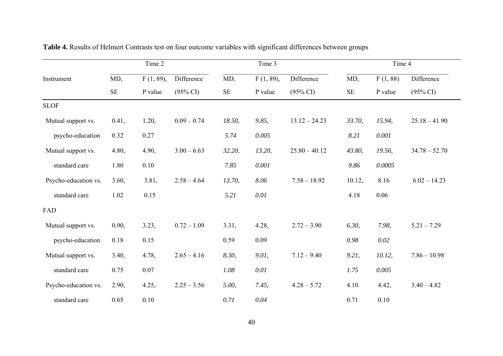| Time 2               |          |           |                     | Time 3    |           | Time 4              |           |          |                     |  |
|----------------------|----------|-----------|---------------------|-----------|-----------|---------------------|-----------|----------|---------------------|--|
| Instrument           | MD,      | F(1, 89), | Difference          | MD,       | F(1, 89), | Difference          | MD,       | F(1, 88) | Difference          |  |
|                      | $\rm SE$ | P value   | $(95\% \text{ CI})$ | <b>SE</b> | P value   | $(95\% \text{ CI})$ | <b>SE</b> | P value  | $(95\% \text{ CI})$ |  |
| <b>SLOF</b>          |          |           |                     |           |           |                     |           |          |                     |  |
| Mutual support vs.   | 0.41,    | 1.20,     | $0.09 - 0.74$       | 18.50,    | 9.85,     | $13.12 - 24.23$     | 33.70,    | 15.94,   | $25.18 - 41.90$     |  |
| psycho-education     | 0.32     | 0.27      |                     | 5.74      | 0.005     |                     | 8.21      | 0.001    |                     |  |
| Mutual support vs.   | 4.80,    | 4.90,     | $3.00 - 6.63$       | 32.20,    | 13.20,    | $25.80 - 40.12$     | 43.80,    | 19.56,   | $34.78 - 52.70$     |  |
| standard care        | 1.80     | 0.10      |                     | 7.85      | 0.001     |                     | 9.86      | 0.0005   |                     |  |
| Psycho-education vs. | 3.60,    | 3.81,     | $2.58 - 4.64$       | 13.70,    | 8.06      | $7.58 - 18.92$      | 10.12,    | 8.16     | $6.02 - 14.23$      |  |
| standard care        | 1.02     | 0.15      |                     | 5.21      | 0.01      |                     | 4.18      | 0.06     |                     |  |
| FAD                  |          |           |                     |           |           |                     |           |          |                     |  |
| Mutual support vs.   | 0.90,    | 3.23,     | $0.72 - 1.09$       | 3.31,     | 4.28,     | $2.72 - 3.90$       | 6.30,     | 7.98,    | $5.21 - 7.29$       |  |
| psycho-education     | 0.18     | 0.15      |                     | 0.59      | 0.09      |                     | 0.98      | 0.02     |                     |  |
| Mutual support vs.   | 3.40,    | 4.78,     | $2.65 - 4.16$       | 8.30,     | 9.01,     | $7.12 - 9.40$       | 9.21,     | 10.12,   | $7.86 - 10.98$      |  |
| standard care        | 0.75     | 0.07      |                     | 1.08      | 0.01      |                     | 1.75      | 0.005    |                     |  |
| Psycho-education vs. | 2.90,    | 4.25,     | $2.25 - 3.56$       | 5.00,     | 7.45,     | $4.28 - 5.72$       | 4.10      | 4.42,    | $3.40 - 4.82$       |  |
| standard care        | 0.65     | 0.10      |                     | 0.71      | 0.04      |                     | 0.71      | 0.10     |                     |  |

**Table 4.** Results of Helmert Contrasts test on four outcome variables with significant differences between groups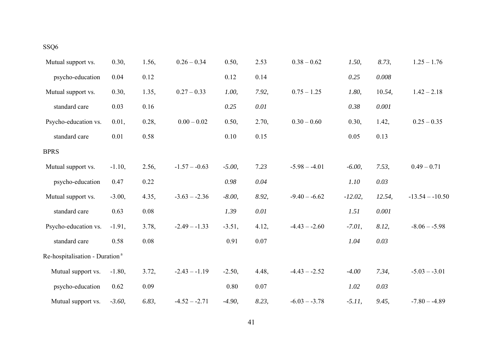SSQ6

| Mutual support vs.                         | 0.30,    | 1.56, | $0.26 - 0.34$   | 0.50,    | 2.53  | $0.38 - 0.62$   | 1.50,     | 8.73,  | $1.25 - 1.76$     |
|--------------------------------------------|----------|-------|-----------------|----------|-------|-----------------|-----------|--------|-------------------|
| psycho-education                           | 0.04     | 0.12  |                 | 0.12     | 0.14  |                 | 0.25      | 0.008  |                   |
| Mutual support vs.                         | 0.30,    | 1.35, | $0.27 - 0.33$   | 1.00,    | 7.92, | $0.75 - 1.25$   | 1.80,     | 10.54, | $1.42 - 2.18$     |
| standard care                              | 0.03     | 0.16  |                 | 0.25     | 0.01  |                 | 0.38      | 0.001  |                   |
| Psycho-education vs.                       | 0.01,    | 0.28, | $0.00 - 0.02$   | 0.50,    | 2.70, | $0.30 - 0.60$   | 0.30,     | 1.42,  | $0.25 - 0.35$     |
| standard care                              | 0.01     | 0.58  |                 | 0.10     | 0.15  |                 | 0.05      | 0.13   |                   |
| <b>BPRS</b>                                |          |       |                 |          |       |                 |           |        |                   |
| Mutual support vs.                         | $-1.10,$ | 2.56, | $-1.57 - -0.63$ | $-5.00,$ | 7.23  | $-5.98 - -4.01$ | $-6.00,$  | 7.53,  | $0.49 - 0.71$     |
| psycho-education                           | 0.47     | 0.22  |                 | 0.98     | 0.04  |                 | 1.10      | 0.03   |                   |
| Mutual support vs.                         | $-3.00,$ | 4.35, | $-3.63 - -2.36$ | $-8.00,$ | 8.92, | $-9.40 - -6.62$ | $-12.02,$ | 12.54, | $-13.54 - -10.50$ |
| standard care                              | 0.63     | 0.08  |                 | 1.39     | 0.01  |                 | 1.51      | 0.001  |                   |
| Psycho-education vs.                       | $-1.91,$ | 3.78, | $-2.49 - -1.33$ | $-3.51,$ | 4.12, | $-4.43 - -2.60$ | $-7.01,$  | 8.12,  | $-8.06 - -5.98$   |
| standard care                              | 0.58     | 0.08  |                 | 0.91     | 0.07  |                 | 1.04      | 0.03   |                   |
| Re-hospitalisation - Duration <sup>a</sup> |          |       |                 |          |       |                 |           |        |                   |
| Mutual support vs.                         | $-1.80,$ | 3.72, | $-2.43 - -1.19$ | $-2.50,$ | 4.48, | $-4.43 - -2.52$ | $-4.00$   | 7.34,  | $-5.03 - -3.01$   |
| psycho-education                           | 0.62     | 0.09  |                 | 0.80     | 0.07  |                 | 1.02      | 0.03   |                   |
| Mutual support vs.                         | $-3.60,$ | 6.83, | $-4.52 - -2.71$ | $-4.90,$ | 8.23, | $-6.03 - -3.78$ | $-5.11,$  | 9.45,  | $-7.80 - -4.89$   |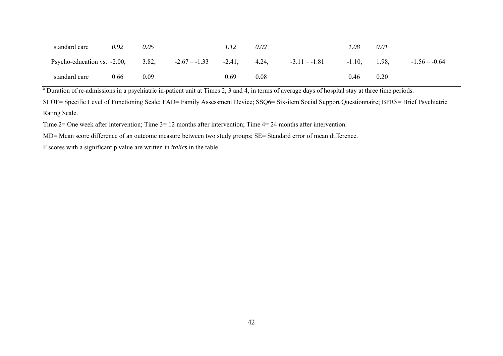| standard care               | 0.92 | 0.05  |                 | 1.12     | 0.02  |                 | 0.08      | 0.01  |                 |
|-----------------------------|------|-------|-----------------|----------|-------|-----------------|-----------|-------|-----------------|
| Psycho-education vs. -2.00, |      | 3.82, | $-2.67 - -1.33$ | $-2.41,$ | 4.24, | $-3.11 - -1.81$ | $-1.10$ , | 1.98. | $-1.56 - -0.64$ |
| standard care               | 0.66 | 0.09  |                 | 0.69     | 0.08  |                 | 0.46      | 0.20  |                 |

 $\frac{a}{a}$  Duration of re-admissions in a psychiatric in-patient unit at Times 2, 3 and 4, in terms of average days of hospital stay at three time periods.

SLOF= Specific Level of Functioning Scale; FAD= Family Assessment Device; SSQ6= Six-item Social Support Questionnaire; BPRS= Brief Psychiatric Rating Scale.

Time 2= One week after intervention; Time 3= 12 months after intervention; Time 4= 24 months after intervention.

MD= Mean score difference of an outcome measure between two study groups; SE= Standard error of mean difference.

F scores with a significant p value are written in *italics* in the table.